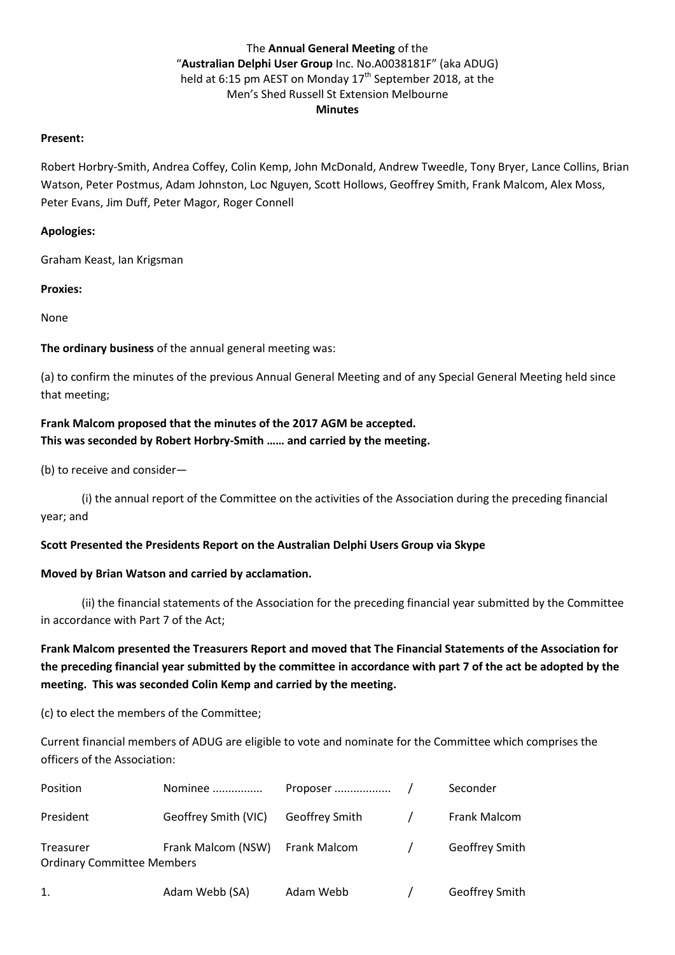# The **Annual General Meeting** of the "**Australian Delphi User Group** Inc. No.A0038181F" (aka ADUG) held at 6:15 pm AEST on Monday 17<sup>th</sup> September 2018, at the Men's Shed Russell St Extension Melbourne **Minutes**

### **Present:**

Robert Horbry-Smith, Andrea Coffey, Colin Kemp, John McDonald, Andrew Tweedle, Tony Bryer, Lance Collins, Brian Watson, Peter Postmus, Adam Johnston, Loc Nguyen, Scott Hollows, Geoffrey Smith, Frank Malcom, Alex Moss, Peter Evans, Jim Duff, Peter Magor, Roger Connell

### **Apologies:**

Graham Keast, Ian Krigsman

**Proxies:**

None

**The ordinary business** of the annual general meeting was:

(a) to confirm the minutes of the previous Annual General Meeting and of any Special General Meeting held since that meeting;

# **Frank Malcom proposed that the minutes of the 2017 AGM be accepted. This was seconded by Robert Horbry-Smith …… and carried by the meeting.**

(b) to receive and consider—

(i) the annual report of the Committee on the activities of the Association during the preceding financial year; and

## **Scott Presented the Presidents Report on the Australian Delphi Users Group via Skype**

### **Moved by Brian Watson and carried by acclamation.**

(ii) the financial statements of the Association for the preceding financial year submitted by the Committee in accordance with Part 7 of the Act;

# **Frank Malcom presented the Treasurers Report and moved that The Financial Statements of the Association for the preceding financial year submitted by the committee in accordance with part 7 of the act be adopted by the meeting. This was seconded Colin Kemp and carried by the meeting.**

(c) to elect the members of the Committee;

Current financial members of ADUG are eligible to vote and nominate for the Committee which comprises the officers of the Association:

| Position                                       | Nominee              |                |               | Seconder       |
|------------------------------------------------|----------------------|----------------|---------------|----------------|
| President                                      | Geoffrey Smith (VIC) | Geoffrey Smith | $\prime$      | Frank Malcom   |
| Treasurer<br><b>Ordinary Committee Members</b> | Frank Malcom (NSW)   | Frank Malcom   | $\frac{1}{2}$ | Geoffrey Smith |
| 1.                                             | Adam Webb (SA)       | Adam Webb      |               | Geoffrey Smith |